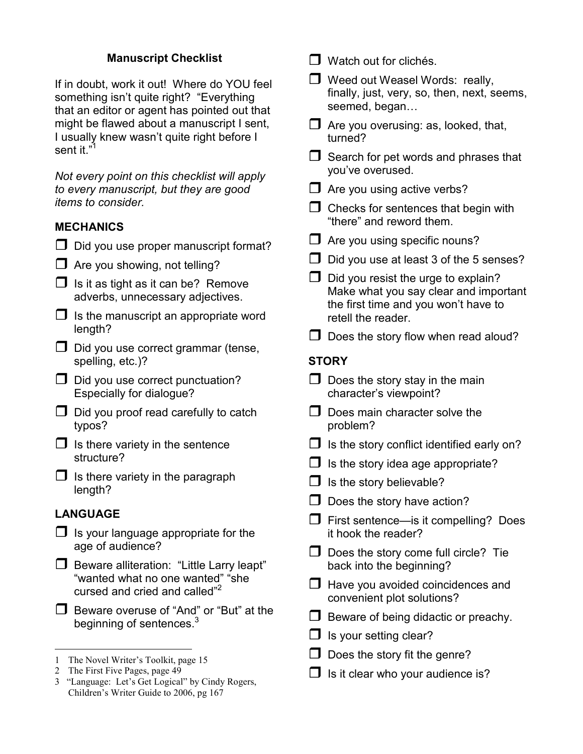# **Manuscript Checklist**

If in doubt, work it out! Where do YOU feel something isn't quite right? "Everything that an editor or agent has pointed out that might be flawed about a manuscript I sent, I usually knew wasn't quite right before I sent it."<sup>1</sup>

*Not every point on this checklist will apply to every manuscript, but they are good items to consider.* 

## **MECHANICS**

- $\Box$  Did you use proper manuscript format?
- $\Box$  Are you showing, not telling?
- $\Box$  Is it as tight as it can be? Remove adverbs, unnecessary adjectives.
- $\Box$  Is the manuscript an appropriate word length?
- $\Box$  Did you use correct grammar (tense, spelling, etc.)?
- $\Box$  Did you use correct punctuation? Especially for dialogue?
- $\Box$  Did you proof read carefully to catch typos?
- $\Box$  Is there variety in the sentence structure?
- $\Box$  Is there variety in the paragraph length?

# **LANGUAGE**

 $\overline{a}$ 

- $\Box$  Is your language appropriate for the age of audience?
- $\Box$  Beware alliteration: "Little Larry leapt" "wanted what no one wanted" "she cursed and cried and called"<sup>2</sup>
- Beware overuse of "And" or "But" at the beginning of sentences.<sup>3</sup>

- 2 The First Five Pages, page 49
- 3 "Language: Let's Get Logical" by Cindy Rogers, Children's Writer Guide to 2006, pg 167
- $\Box$  Watch out for clichés.
- $\Box$  Weed out Weasel Words: really, finally, just, very, so, then, next, seems, seemed, began...
- $\Box$  Are you overusing: as, looked, that, turned?
- $\Box$  Search for pet words and phrases that you've overused.
- $\Box$  Are you using active verbs?
- $\Box$  Checks for sentences that begin with "there" and reword them.
- $\Box$  Are you using specific nouns?
- $\Box$  Did you use at least 3 of the 5 senses?
- $\Box$  Did you resist the urge to explain? Make what you say clear and important the first time and you won't have to retell the reader.
- $\Box$  Does the story flow when read aloud?

# **STORY**

- $\Box$  Does the story stay in the main character's viewpoint?
- $\Box$  Does main character solve the problem?
- $\Box$  Is the story conflict identified early on?
- $\Box$  Is the story idea age appropriate?
- $\Box$  Is the story believable?
- $\Box$  Does the story have action?
- $\Box$  First sentence—is it compelling? Does it hook the reader?
- $\Box$  Does the story come full circle? Tie back into the beginning?
- $\Box$  Have you avoided coincidences and convenient plot solutions?
- $\Box$  Beware of being didactic or preachy.
- $\Box$  Is your setting clear?
- $\Box$  Does the story fit the genre?
- $\Box$  Is it clear who your audience is?

<sup>1</sup> The Novel Writer's Toolkit, page 15